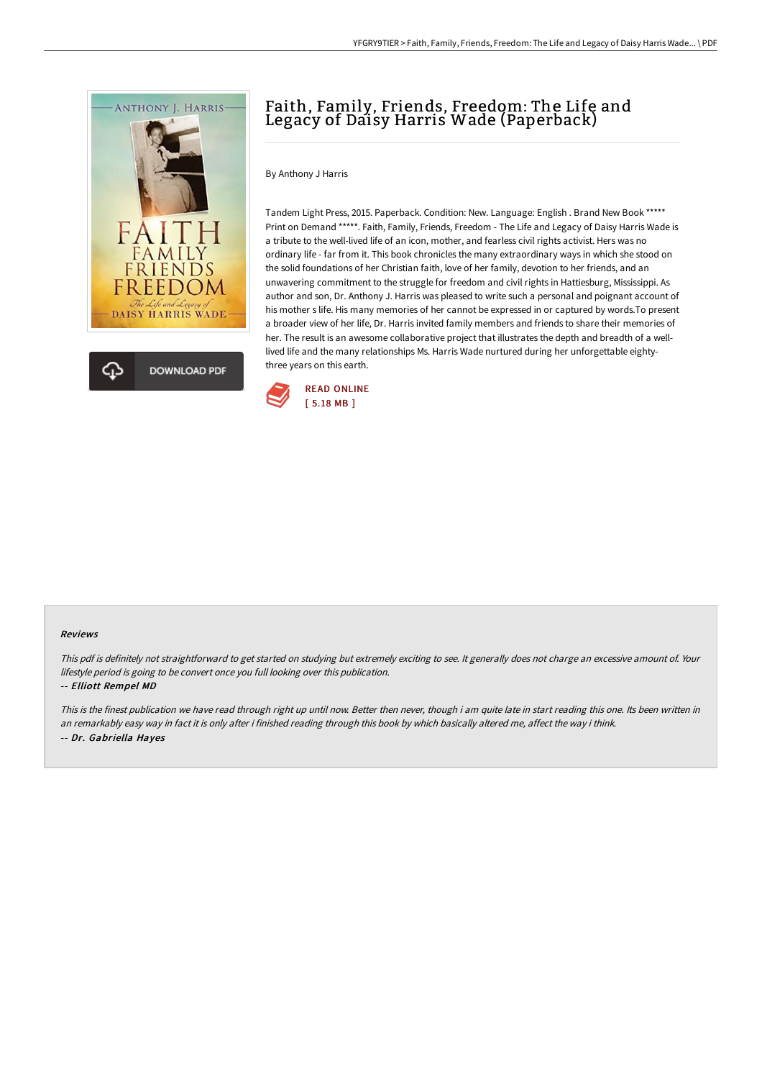

# Faith, Family, Friends, Freedom: The Life and Legacy of Daisy Harris Wade (Paperback)

By Anthony J Harris

Tandem Light Press, 2015. Paperback. Condition: New. Language: English . Brand New Book \*\*\*\*\* Print on Demand \*\*\*\*\*. Faith, Family, Friends, Freedom - The Life and Legacy of Daisy Harris Wade is a tribute to the well-lived life of an icon, mother, and fearless civil rights activist. Hers was no ordinary life - far from it. This book chronicles the many extraordinary ways in which she stood on the solid foundations of her Christian faith, love of her family, devotion to her friends, and an unwavering commitment to the struggle for freedom and civil rights in Hattiesburg, Mississippi. As author and son, Dr. Anthony J. Harris was pleased to write such a personal and poignant account of his mother s life. His many memories of her cannot be expressed in or captured by words.To present a broader view of her life, Dr. Harris invited family members and friends to share their memories of her. The result is an awesome collaborative project that illustrates the depth and breadth of a welllived life and the many relationships Ms. Harris Wade nurtured during her unforgettable eightythree years on this earth.



### Reviews

This pdf is definitely not straightforward to get started on studying but extremely exciting to see. It generally does not charge an excessive amount of. Your lifestyle period is going to be convert once you full looking over this publication.

### -- Elliott Rempel MD

This is the finest publication we have read through right up until now. Better then never, though i am quite late in start reading this one. Its been written in an remarkably easy way in fact it is only after i finished reading through this book by which basically altered me, affect the way i think. -- Dr. Gabriella Hayes